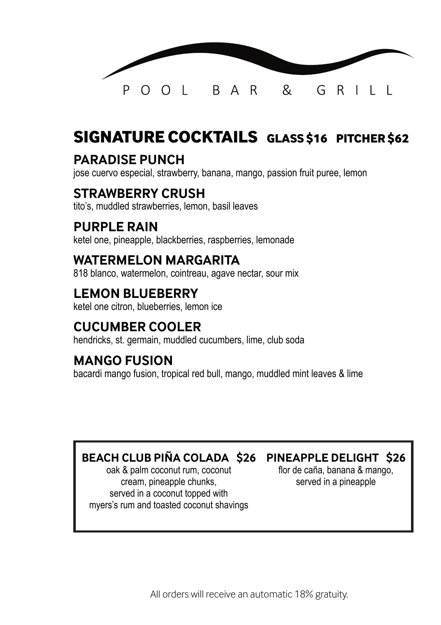

## **SIGNATURE COCKTAILS GLASS \$16 PITCHER \$62**

#### **PARADISE PUNCH**

jose cuervo especial, strawberry, banana, mango, passion fruit puree, lemon

#### **STRAWBERRY CRUSH**

tito's, muddled strawberries, lemon, basil leaves

#### **PURPLE RAIN**

ketel one, pineapple, blackberries, raspberries, lemonade

#### **WATERMELON MARGARITA**

818 blanco, watermelon, cointreau, agave nectar, sour mix

### **LEMON BLUEBERRY**

ketel one citron, blueberries, lemon ice

#### **CUCUMBER COOLER**

hendricks, st. germain, muddled cucumbers, lime, club soda

#### **MANGO FUSION**

bacardi mango fusion, tropical red bull, mango, muddled mint leaves & lime

#### **BEACH CLUB PIÑA COLADA \$26 PINEAPPLE DELIGHT \$26**

oak & palm coconut rum, coconut cream, pineapple chunks, served in a coconut topped with myers's rum and toasted coconut shavings

flor de caña, banana & mango, served in a pineapple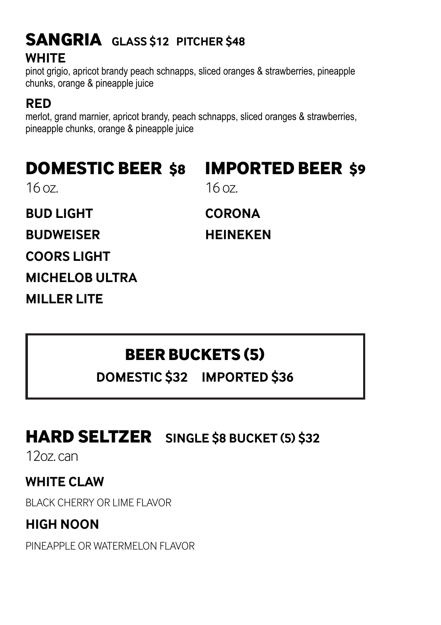# **WHITE SANGRIA GLASS \$12 PITCHER \$48**

pinot grigio, apricot brandy peach schnapps, sliced oranges & strawberries, pineapple chunks, orange & pineapple juice

## **RED**

merlot, grand marnier, apricot brandy, peach schnapps, sliced oranges & strawberries, pineapple chunks, orange & pineapple juice

## **DOMESTIC BEER \$8**

# **IMPORTED BEER \$9**

16 oz.

**BUD LIGHT**

**BUDWEISER**

**COORS LIGHT**

**MICHELOB ULTRA**

**MILLER LITE**

16 oz.

**CORONA**

**HEINEKEN**

# **BEER BUCKETS (5)**

**DOMESTIC \$32 IMPORTED \$36**

# **HARD SELTZER SINGLE \$8 BUCKET (5) \$32**

12oz. can

**WHITE CLAW**

BLACK CHERRY OR LIME FLAVOR

**HIGH NOON**

PINEAPPLE OR WATERMELON FLAVOR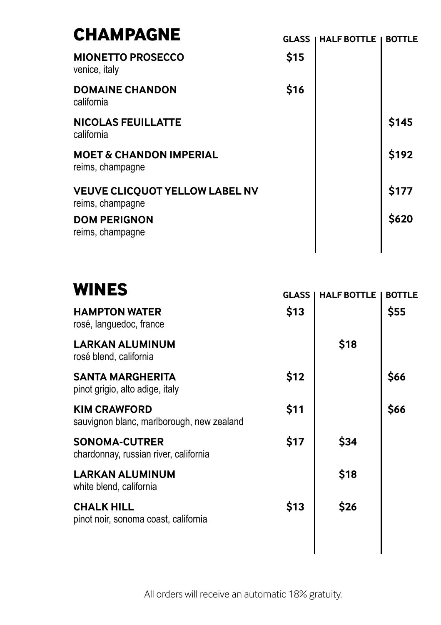| \$15<br><b>MIONETTO PROSECCO</b><br>venice, italy<br>\$16<br><b>DOMAINE CHANDON</b> | <b>BOTTLE</b> |
|-------------------------------------------------------------------------------------|---------------|
|                                                                                     |               |
| california                                                                          |               |
| \$145<br><b>NICOLAS FEUILLATTE</b><br>california                                    |               |
| \$192<br><b>MOET &amp; CHANDON IMPERIAL</b><br>reims, champagne                     |               |
| \$177<br><b>VEUVE CLICQUOT YELLOW LABEL NV</b><br>reims, champagne                  |               |
| \$620<br><b>DOM PERIGNON</b><br>reims, champagne                                    |               |

| <b>WINES</b>                                                     | <b>GLASS</b> | <b>HALF BOTTLE</b> | <b>BOTTLE</b> |
|------------------------------------------------------------------|--------------|--------------------|---------------|
| <b>HAMPTON WATER</b><br>rosé, languedoc, france                  | \$13         |                    | \$55          |
| <b>LARKAN ALUMINUM</b><br>rosé blend, california                 |              | \$18               |               |
| <b>SANTA MARGHERITA</b><br>pinot grigio, alto adige, italy       | \$12         |                    | \$66          |
| <b>KIM CRAWFORD</b><br>sauvignon blanc, marlborough, new zealand | \$11         |                    | \$66          |
| <b>SONOMA-CUTRER</b><br>chardonnay, russian river, california    | \$17         | \$34               |               |
| <b>LARKAN ALUMINUM</b><br>white blend, california                |              | \$18               |               |
| <b>CHALK HILL</b><br>pinot noir, sonoma coast, california        | \$13         | \$26               |               |
|                                                                  |              |                    |               |

All orders will receive an automatic 18% gratuity.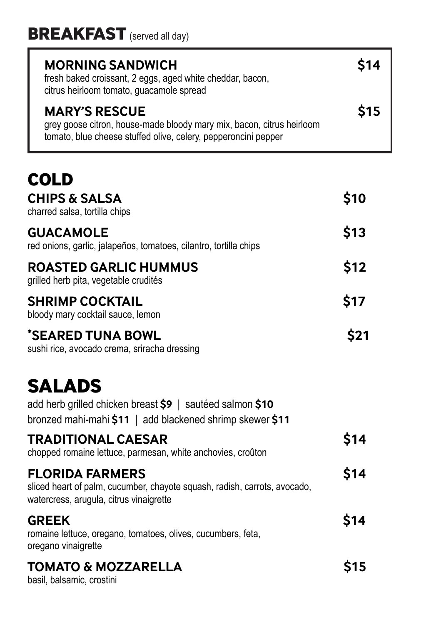| <b>MORNING SANDWICH</b><br>fresh baked croissant, 2 eggs, aged white cheddar, bacon,<br>citrus heirloom tomato, guacamole spread                                | S14         |
|-----------------------------------------------------------------------------------------------------------------------------------------------------------------|-------------|
| <b>MARY'S RESCUE</b><br>grey goose citron, house-made bloody mary mix, bacon, citrus heirloom<br>tomato, blue cheese stuffed olive, celery, pepperoncini pepper | <b>\$15</b> |
|                                                                                                                                                                 |             |

| ◡◡∟◡                                                                                                                                           |      |
|------------------------------------------------------------------------------------------------------------------------------------------------|------|
| <b>CHIPS &amp; SALSA</b><br>charred salsa, tortilla chips                                                                                      | \$10 |
| <b>GUACAMOLE</b><br>red onions, garlic, jalapeños, tomatoes, cilantro, tortilla chips                                                          | \$13 |
| <b>ROASTED GARLIC HUMMUS</b><br>grilled herb pita, vegetable crudités                                                                          | \$12 |
| <b>SHRIMP COCKTAIL</b><br>bloody mary cocktail sauce, lemon                                                                                    | \$17 |
| *SEARED TUNA BOWL<br>sushi rice, avocado crema, sriracha dressing                                                                              | \$21 |
| <b>SALADS</b><br>add herb grilled chicken breast \$9   sautéed salmon \$10<br>bronzed mahi-mahi \$11   add blackened shrimp skewer \$11        |      |
| <b>TRADITIONAL CAESAR</b><br>chopped romaine lettuce, parmesan, white anchovies, croûton                                                       | \$14 |
| <b>FLORIDA FARMERS</b><br>sliced heart of palm, cucumber, chayote squash, radish, carrots, avocado,<br>watercress, arugula, citrus vinaigrette | \$14 |
| <b>GREEK</b><br>romaine lettuce, oregano, tomatoes, olives, cucumbers, feta,<br>oregano vinaigrette                                            | \$14 |
| <b>TOMATO &amp; MOZZARELLA</b><br>basil, balsamic, crostini                                                                                    | \$15 |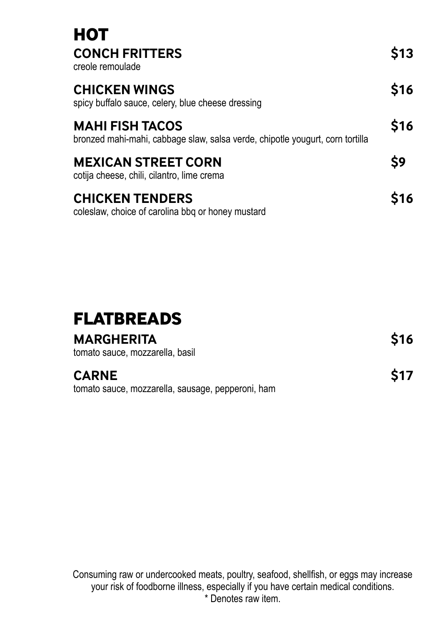| нот<br><b>CONCH FRITTERS</b><br>creole remoulade                                                        | \$13        |
|---------------------------------------------------------------------------------------------------------|-------------|
| <b>CHICKEN WINGS</b><br>spicy buffalo sauce, celery, blue cheese dressing                               | <b>\$16</b> |
| <b>MAHI FISH TACOS</b><br>bronzed mahi-mahi, cabbage slaw, salsa verde, chipotle yougurt, corn tortilla | \$16        |
| <b>MEXICAN STREET CORN</b><br>cotija cheese, chili, cilantro, lime crema                                | S9          |
| <b>CHICKEN TENDERS</b><br>coleslaw, choice of carolina bbq or honey mustard                             | <b>S16</b>  |

| <b>FLATBREADS</b>                                                 |      |
|-------------------------------------------------------------------|------|
| <b>MARGHERITA</b><br>tomato sauce, mozzarella, basil              | \$16 |
| <b>CARNE</b><br>tomato sauce, mozzarella, sausage, pepperoni, ham | \$17 |

Consuming raw or undercooked meats, poultry, seafood, shellfish, or eggs may increase your risk of foodborne illness, especially if you have certain medical conditions. \* Denotes raw item.